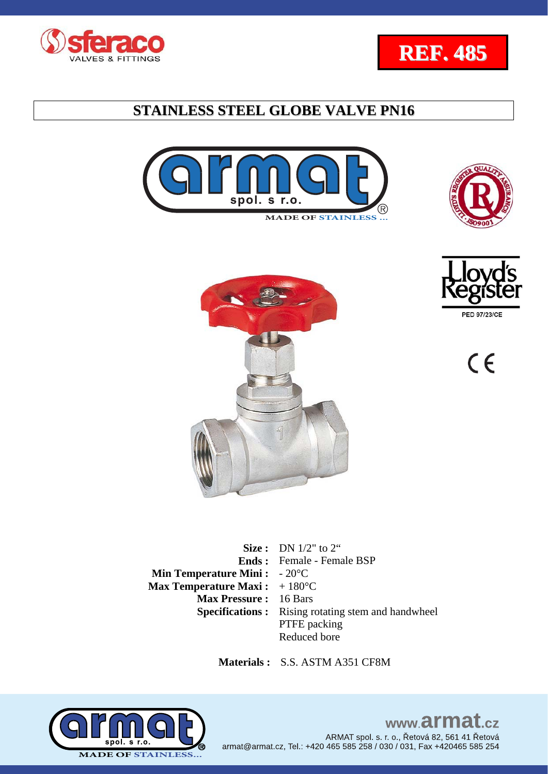













**Size :** DN 1/2" to 2" **Ends :**  Female - Female BSP **Min Temperature Mini :**  - 20°C **Max Temperature Maxi:** +180°C **Max Pressure :** 16 Bars **Specifications :** Rising rotating stem and handwheel PTFE packing Reduced bore

 **Materials :** S.S. ASTM A351 CF8M



### www.armat.cz ARMAT spol. s. r. o., Řetová 82, 561 41 Řetová armat@armat.cz, Tel.: +420 465 585 258 / 030 / 031, Fax +420465 585 254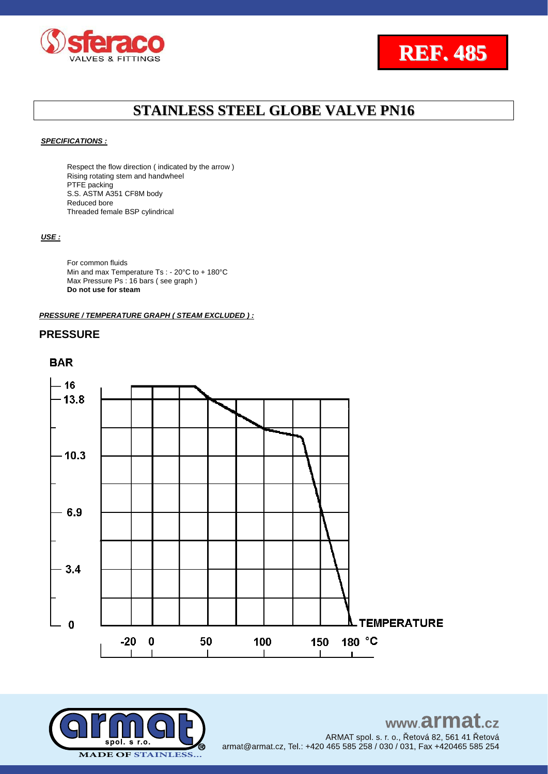



#### *SPECIFICATIONS :*

Respect the flow direction ( indicated by the arrow ) Rising rotating stem and handwheel PTFE packing S.S. ASTM A351 CF8M body Reduced bore Threaded female BSP cylindrical

#### *USE :*

For common fluids Min and max Temperature Ts : - 20°C to + 180°C Max Pressure Ps : 16 bars ( see graph ) **Do not use for steam**

#### *PRESSURE / TEMPERATURE GRAPH ( STEAM EXCLUDED ) :*

### **PRESSURE**

### **BAR**



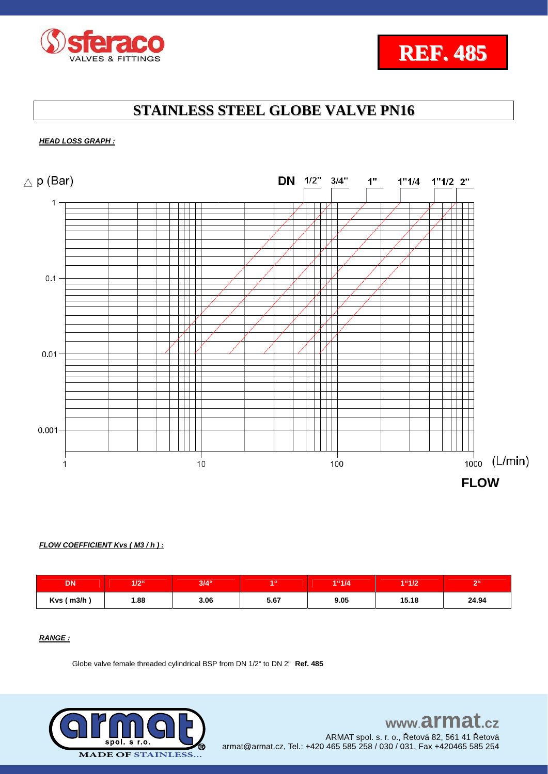



#### *HEAD LOSS GRAPH :*



#### *FLOW COEFFICIENT Kvs ( M3 / h ) :*

| <b>DN</b>    | 1/2  | $3/4$ " | 4.66 | 1"1/4 | 1"1/2 | R <sub>1</sub> |
|--------------|------|---------|------|-------|-------|----------------|
| $Kvs$ ( m3/h | 1.88 | 3.06    | 5.67 | 9.05  | 15.18 | 24.94          |

### *RANGE :*

Globe valve female threaded cylindrical BSP from DN 1/2" to DN 2" **Ref. 485**

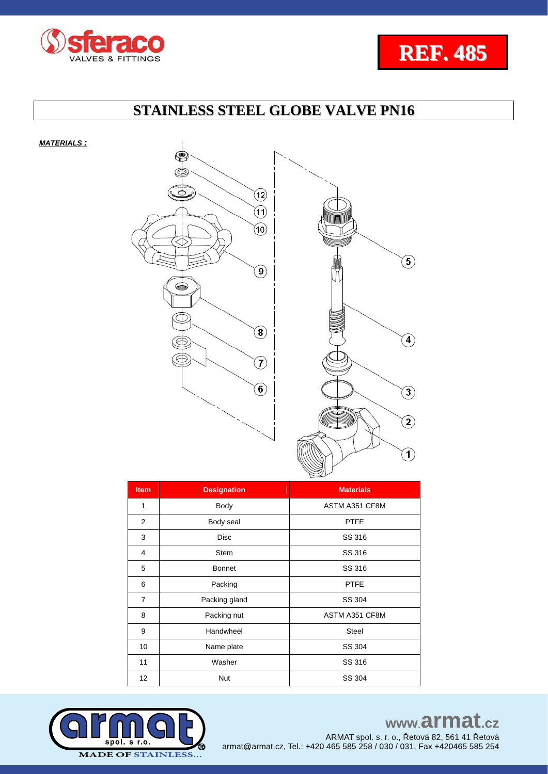



*MATERIALS :*



| <b>Item</b>    | <b>Designation</b> | <b>Materials</b> |  |  |
|----------------|--------------------|------------------|--|--|
| 1              | Body               | ASTM A351 CF8M   |  |  |
| 2              | Body seal          | <b>PTFE</b>      |  |  |
| 3              | <b>Disc</b>        | SS 316           |  |  |
| 4              | <b>Stem</b>        | SS 316           |  |  |
| 5              | <b>Bonnet</b>      | SS 316           |  |  |
| 6              | Packing            | <b>PTFE</b>      |  |  |
| $\overline{7}$ | Packing gland      | SS 304           |  |  |
| 8              | Packing nut        | ASTM A351 CF8M   |  |  |
| 9              | Handwheel          | <b>Steel</b>     |  |  |
| 10             | Name plate         | SS 304           |  |  |
| 11             | Washer             | SS 316           |  |  |
| 12             | <b>Nut</b>         | SS 304           |  |  |



# www.armat.cz

ARMAT spol. s. r. o., Řetová 82, 561 41 Řetová armat@armat.cz, Tel.: +420 465 585 258 / 030 / 031, Fax +420465 585 254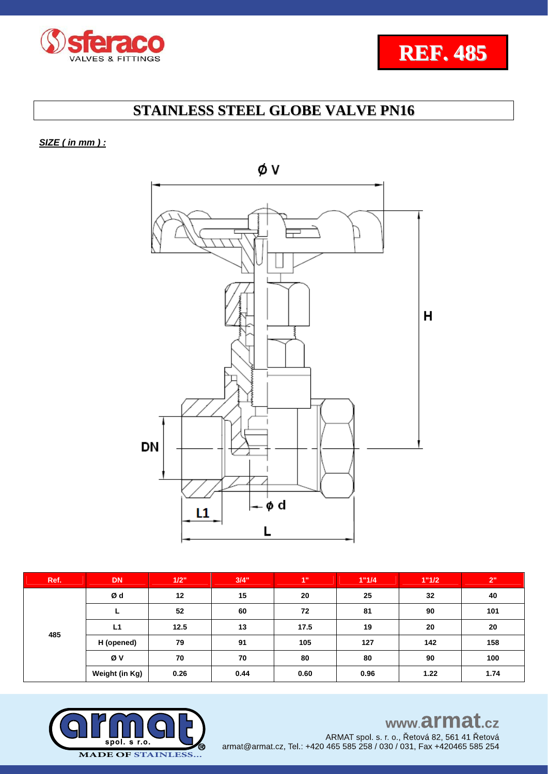



*SIZE ( in mm ) :* 



| Ref. | <b>DN</b>      | 1/2" | 3/4" | 1"   | 1"1/4 | 1"1/2 | 2"   |
|------|----------------|------|------|------|-------|-------|------|
| 485  | Ød             | 12   | 15   | 20   | 25    | 32    | 40   |
|      |                | 52   | 60   | 72   | 81    | 90    | 101  |
|      | L1             | 12.5 | 13   | 17.5 | 19    | 20    | 20   |
|      | H (opened)     | 79   | 91   | 105  | 127   | 142   | 158  |
|      | Øν             | 70   | 70   | 80   | 80    | 90    | 100  |
|      | Weight (in Kg) | 0.26 | 0.44 | 0.60 | 0.96  | 1.22  | 1.74 |



www.armat.cz

ARMAT spol. s. r. o., Řetová 82, 561 41 Řetová armat@armat.cz, Tel.: +420 465 585 258 / 030 / 031, Fax +420465 585 254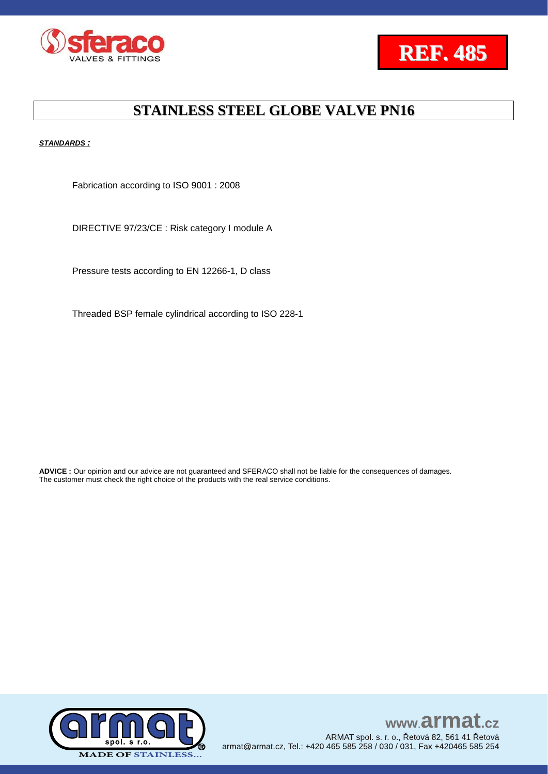



*STANDARDS :*

Fabrication according to ISO 9001 : 2008

DIRECTIVE 97/23/CE : Risk category I module A

Pressure tests according to EN 12266-1, D class

Threaded BSP female cylindrical according to ISO 228-1

**ADVICE :** Our opinion and our advice are not guaranteed and SFERACO shall not be liable for the consequences of damages. The customer must check the right choice of the products with the real service conditions.



www.armat.cz ARMAT spol. s. r. o., Řetová 82, 561 41 Řetová armat@armat.cz, Tel.: +420 465 585 258 / 030 / 031, Fax +420465 585 254